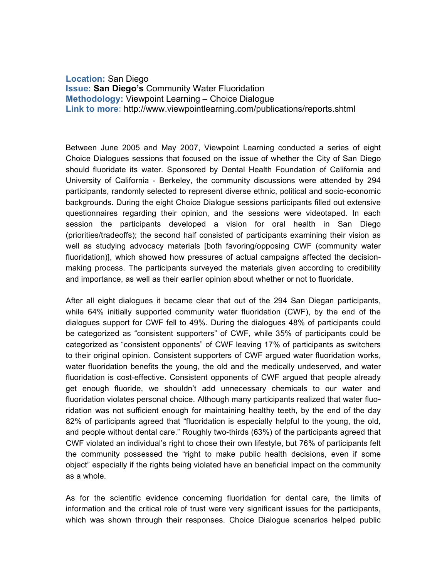**Location:** San Diego **Issue: San Diego's** Community Water Fluoridation **Methodology:** Viewpoint Learning – Choice Dialogue **Link to more:** http://www.viewpointlearning.com/publications/reports.shtml

Between June 2005 and May 2007, Viewpoint Learning conducted a series of eight Choice Dialogues sessions that focused on the issue of whether the City of San Diego should fluoridate its water. Sponsored by Dental Health Foundation of California and University of California - Berkeley, the community discussions were attended by 294 participants, randomly selected to represent diverse ethnic, political and socio-economic backgrounds. During the eight Choice Dialogue sessions participants filled out extensive questionnaires regarding their opinion, and the sessions were videotaped. In each session the participants developed a vision for oral health in San Diego (priorities/tradeoffs); the second half consisted of participants examining their vision as well as studying advocacy materials [both favoring/opposing CWF (community water fluoridation)], which showed how pressures of actual campaigns affected the decisionmaking process. The participants surveyed the materials given according to credibility and importance, as well as their earlier opinion about whether or not to fluoridate.

After all eight dialogues it became clear that out of the 294 San Diegan participants, while 64% initially supported community water fluoridation (CWF), by the end of the dialogues support for CWF fell to 49%. During the dialogues 48% of participants could be categorized as "consistent supporters" of CWF, while 35% of participants could be categorized as "consistent opponents" of CWF leaving 17% of participants as switchers to their original opinion. Consistent supporters of CWF argued water fluoridation works, water fluoridation benefits the young, the old and the medically undeserved, and water fluoridation is cost-effective. Consistent opponents of CWF argued that people already get enough fluoride, we shouldn't add unnecessary chemicals to our water and fluoridation violates personal choice. Although many participants realized that water fluoridation was not sufficient enough for maintaining healthy teeth, by the end of the day 82% of participants agreed that "fluoridation is especially helpful to the young, the old, and people without dental care." Roughly two-thirds (63%) of the participants agreed that CWF violated an individual's right to chose their own lifestyle, but 76% of participants felt the community possessed the "right to make public health decisions, even if some object" especially if the rights being violated have an beneficial impact on the community as a whole.

As for the scientific evidence concerning fluoridation for dental care, the limits of information and the critical role of trust were very significant issues for the participants, which was shown through their responses. Choice Dialogue scenarios helped public